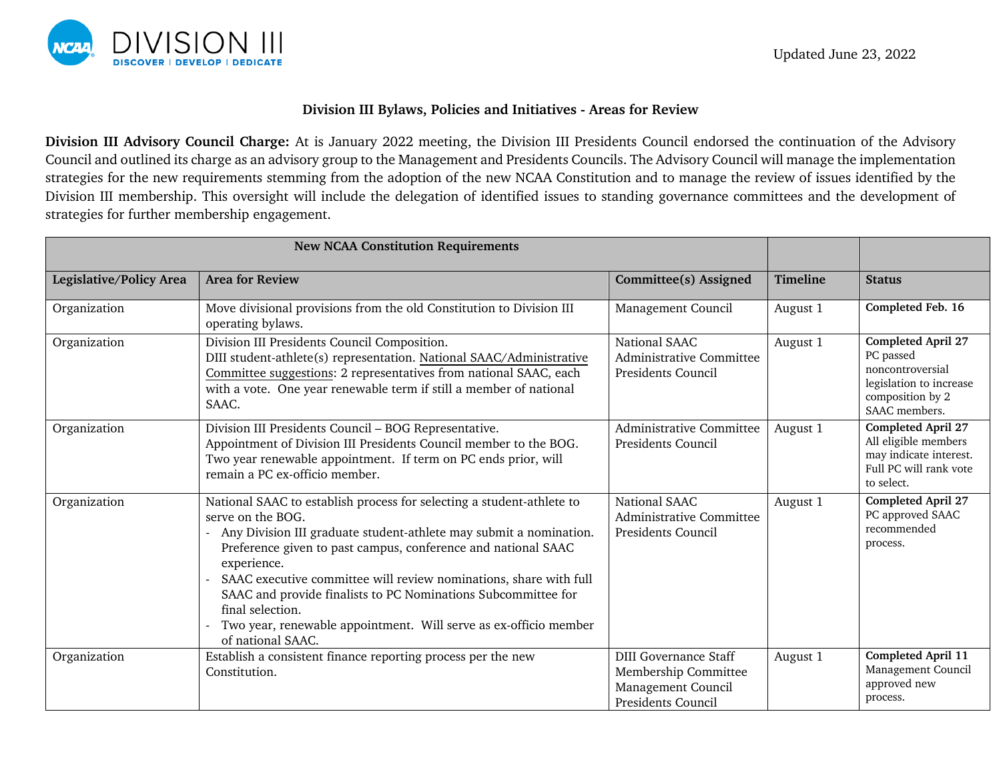

## **Division III Bylaws, Policies and Initiatives - Areas for Review**

**Division III Advisory Council Charge:** At is January 2022 meeting, the Division III Presidents Council endorsed the continuation of the Advisory Council and outlined its charge as an advisory group to the Management and Presidents Councils. The Advisory Council will manage the implementation strategies for the new requirements stemming from the adoption of the new NCAA Constitution and to manage the review of issues identified by the Division III membership. This oversight will include the delegation of identified issues to standing governance committees and the development of strategies for further membership engagement.

| <b>New NCAA Constitution Requirements</b> |                                                                                                                                                                                                                                                                                                                                                                                                                                                                                                     |                                                                                                  |                 |                                                                                                                            |
|-------------------------------------------|-----------------------------------------------------------------------------------------------------------------------------------------------------------------------------------------------------------------------------------------------------------------------------------------------------------------------------------------------------------------------------------------------------------------------------------------------------------------------------------------------------|--------------------------------------------------------------------------------------------------|-----------------|----------------------------------------------------------------------------------------------------------------------------|
| Legislative/Policy Area                   | <b>Area for Review</b>                                                                                                                                                                                                                                                                                                                                                                                                                                                                              | Committee(s) Assigned                                                                            | <b>Timeline</b> | <b>Status</b>                                                                                                              |
| Organization                              | Move divisional provisions from the old Constitution to Division III<br>operating bylaws.                                                                                                                                                                                                                                                                                                                                                                                                           | Management Council                                                                               | August 1        | Completed Feb. 16                                                                                                          |
| Organization                              | Division III Presidents Council Composition.<br>DIII student-athlete(s) representation. National SAAC/Administrative<br>Committee suggestions: 2 representatives from national SAAC, each<br>with a vote. One year renewable term if still a member of national<br>SAAC.                                                                                                                                                                                                                            | National SAAC<br>Administrative Committee<br>Presidents Council                                  | August 1        | <b>Completed April 27</b><br>PC passed<br>noncontroversial<br>legislation to increase<br>composition by 2<br>SAAC members. |
| Organization                              | Division III Presidents Council - BOG Representative.<br>Appointment of Division III Presidents Council member to the BOG.<br>Two year renewable appointment. If term on PC ends prior, will<br>remain a PC ex-officio member.                                                                                                                                                                                                                                                                      | Administrative Committee<br>Presidents Council                                                   | August 1        | Completed April 27<br>All eligible members<br>may indicate interest.<br>Full PC will rank vote<br>to select.               |
| Organization                              | National SAAC to establish process for selecting a student-athlete to<br>serve on the BOG.<br>Any Division III graduate student-athlete may submit a nomination.<br>Preference given to past campus, conference and national SAAC<br>experience.<br>SAAC executive committee will review nominations, share with full<br>SAAC and provide finalists to PC Nominations Subcommittee for<br>final selection.<br>Two year, renewable appointment. Will serve as ex-officio member<br>of national SAAC. | National SAAC<br><b>Administrative Committee</b><br>Presidents Council                           | August 1        | <b>Completed April 27</b><br>PC approved SAAC<br>recommended<br>process.                                                   |
| Organization                              | Establish a consistent finance reporting process per the new<br>Constitution.                                                                                                                                                                                                                                                                                                                                                                                                                       | <b>DIII Governance Staff</b><br>Membership Committee<br>Management Council<br>Presidents Council | August 1        | Completed April 11<br>Management Council<br>approved new<br>process.                                                       |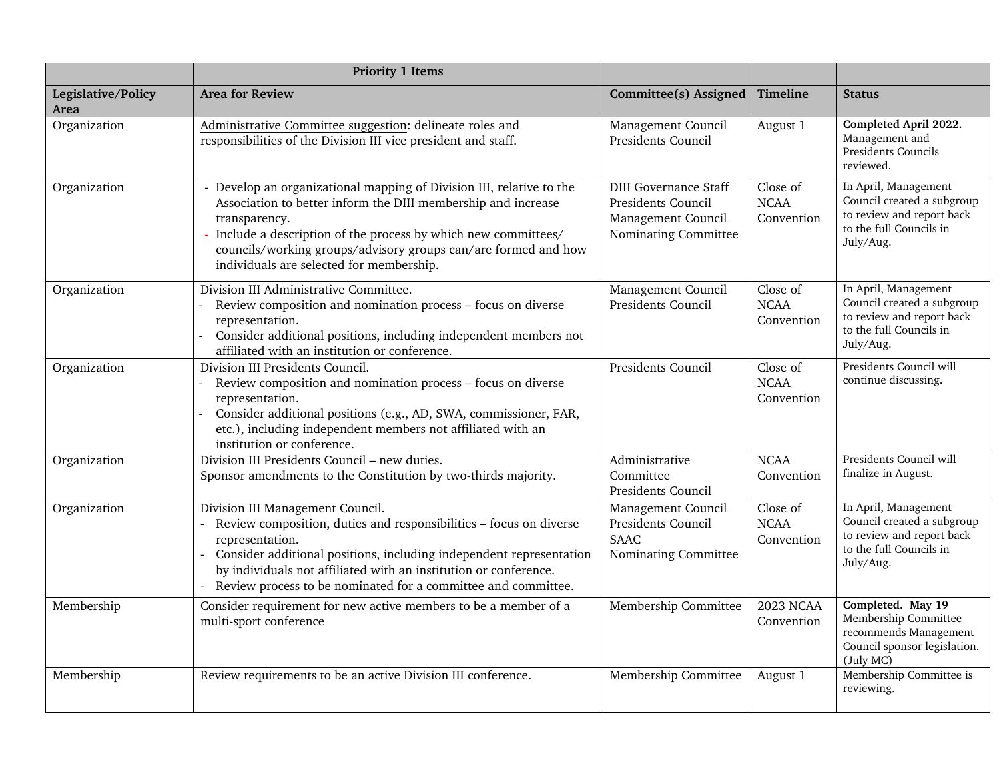|                            | <b>Priority 1 Items</b>                                                                                                                                                                                                                                                                                                               |                                                                                                  |                                       |                                                                                                                         |
|----------------------------|---------------------------------------------------------------------------------------------------------------------------------------------------------------------------------------------------------------------------------------------------------------------------------------------------------------------------------------|--------------------------------------------------------------------------------------------------|---------------------------------------|-------------------------------------------------------------------------------------------------------------------------|
| Legislative/Policy<br>Area | <b>Area for Review</b>                                                                                                                                                                                                                                                                                                                | Committee(s) Assigned                                                                            | Timeline                              | <b>Status</b>                                                                                                           |
| Organization               | Administrative Committee suggestion: delineate roles and<br>responsibilities of the Division III vice president and staff.                                                                                                                                                                                                            | Management Council<br>Presidents Council                                                         | August 1                              | Completed April 2022.<br>Management and<br>Presidents Councils<br>reviewed.                                             |
| Organization               | - Develop an organizational mapping of Division III, relative to the<br>Association to better inform the DIII membership and increase<br>transparency.<br>Include a description of the process by which new committees/<br>councils/working groups/advisory groups can/are formed and how<br>individuals are selected for membership. | <b>DIII Governance Staff</b><br>Presidents Council<br>Management Council<br>Nominating Committee | Close of<br><b>NCAA</b><br>Convention | In April, Management<br>Council created a subgroup<br>to review and report back<br>to the full Councils in<br>July/Aug. |
| Organization               | Division III Administrative Committee.<br>Review composition and nomination process - focus on diverse<br>representation.<br>Consider additional positions, including independent members not<br>affiliated with an institution or conference.                                                                                        | Management Council<br>Presidents Council                                                         | Close of<br><b>NCAA</b><br>Convention | In April, Management<br>Council created a subgroup<br>to review and report back<br>to the full Councils in<br>July/Aug. |
| Organization               | Division III Presidents Council.<br>Review composition and nomination process - focus on diverse<br>representation.<br>Consider additional positions (e.g., AD, SWA, commissioner, FAR,<br>etc.), including independent members not affiliated with an<br>institution or conference.                                                  | Presidents Council                                                                               | Close of<br><b>NCAA</b><br>Convention | Presidents Council will<br>continue discussing.                                                                         |
| Organization               | Division III Presidents Council - new duties.<br>Sponsor amendments to the Constitution by two-thirds majority.                                                                                                                                                                                                                       | Administrative<br>Committee<br>Presidents Council                                                | <b>NCAA</b><br>Convention             | Presidents Council will<br>finalize in August.                                                                          |
| Organization               | Division III Management Council.<br>Review composition, duties and responsibilities - focus on diverse<br>representation.<br>Consider additional positions, including independent representation<br>by individuals not affiliated with an institution or conference.<br>Review process to be nominated for a committee and committee. | Management Council<br>Presidents Council<br>SAAC<br>Nominating Committee                         | Close of<br><b>NCAA</b><br>Convention | In April, Management<br>Council created a subgroup<br>to review and report back<br>to the full Councils in<br>July/Aug. |
| Membership                 | Consider requirement for new active members to be a member of a<br>multi-sport conference                                                                                                                                                                                                                                             | Membership Committee                                                                             | <b>2023 NCAA</b><br>Convention        | Completed. May 19<br>Membership Committee<br>recommends Management<br>Council sponsor legislation.<br>(July MC)         |
| Membership                 | Review requirements to be an active Division III conference.                                                                                                                                                                                                                                                                          | Membership Committee                                                                             | August 1                              | Membership Committee is<br>reviewing.                                                                                   |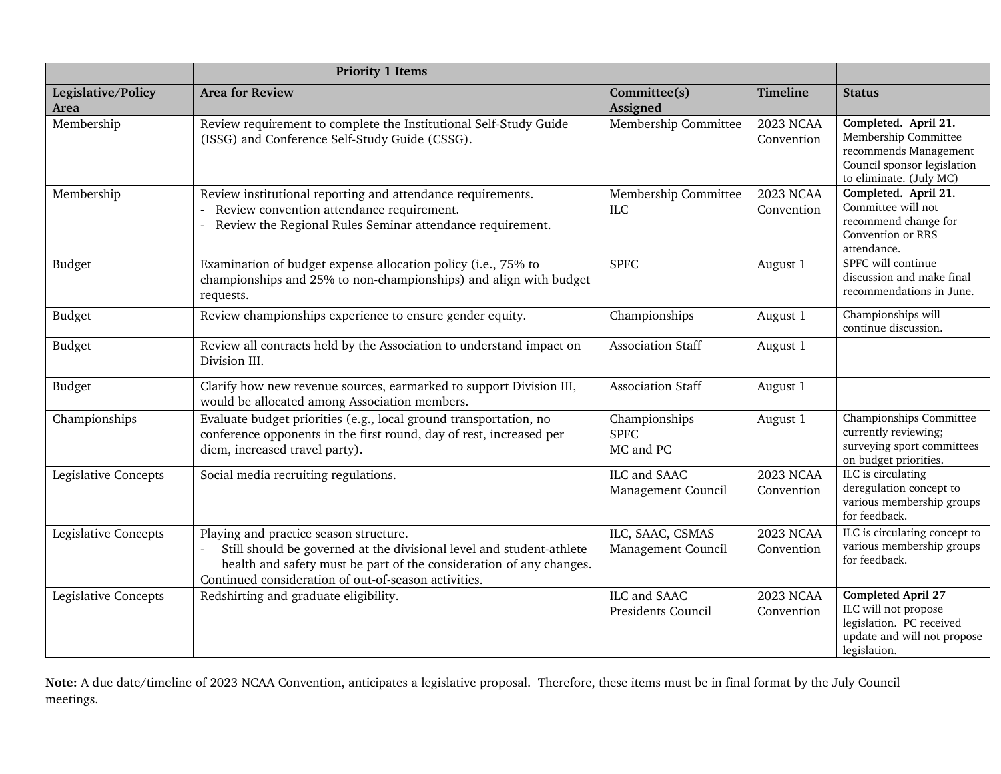|                             | <b>Priority 1 Items</b>                                                                                                                                                                                                                       |                                           |                                |                                                                                                                                 |
|-----------------------------|-----------------------------------------------------------------------------------------------------------------------------------------------------------------------------------------------------------------------------------------------|-------------------------------------------|--------------------------------|---------------------------------------------------------------------------------------------------------------------------------|
| Legislative/Policy<br>Area  | <b>Area for Review</b>                                                                                                                                                                                                                        | Committee(s)<br>Assigned                  | <b>Timeline</b>                | <b>Status</b>                                                                                                                   |
| Membership                  | Review requirement to complete the Institutional Self-Study Guide<br>(ISSG) and Conference Self-Study Guide (CSSG).                                                                                                                           | Membership Committee                      | <b>2023 NCAA</b><br>Convention | Completed. April 21.<br>Membership Committee<br>recommends Management<br>Council sponsor legislation<br>to eliminate. (July MC) |
| Membership                  | Review institutional reporting and attendance requirements.<br>Review convention attendance requirement.<br>Review the Regional Rules Seminar attendance requirement.                                                                         | Membership Committee<br><b>ILC</b>        | <b>2023 NCAA</b><br>Convention | Completed. April 21.<br>Committee will not<br>recommend change for<br>Convention or RRS<br>attendance.                          |
| Budget                      | Examination of budget expense allocation policy (i.e., 75% to<br>championships and 25% to non-championships) and align with budget<br>requests.                                                                                               | <b>SPFC</b>                               | August 1                       | SPFC will continue<br>discussion and make final<br>recommendations in June.                                                     |
| Budget                      | Review championships experience to ensure gender equity.                                                                                                                                                                                      | Championships                             | August 1                       | Championships will<br>continue discussion.                                                                                      |
| Budget                      | Review all contracts held by the Association to understand impact on<br>Division III.                                                                                                                                                         | <b>Association Staff</b>                  | August 1                       |                                                                                                                                 |
| Budget                      | Clarify how new revenue sources, earmarked to support Division III,<br>would be allocated among Association members.                                                                                                                          | <b>Association Staff</b>                  | August 1                       |                                                                                                                                 |
| Championships               | Evaluate budget priorities (e.g., local ground transportation, no<br>conference opponents in the first round, day of rest, increased per<br>diem, increased travel party).                                                                    | Championships<br><b>SPFC</b><br>MC and PC | August 1                       | Championships Committee<br>currently reviewing;<br>surveying sport committees<br>on budget priorities.                          |
| Legislative Concepts        | Social media recruiting regulations.                                                                                                                                                                                                          | ILC and SAAC<br>Management Council        | <b>2023 NCAA</b><br>Convention | ILC is circulating<br>deregulation concept to<br>various membership groups<br>for feedback.                                     |
| <b>Legislative Concepts</b> | Playing and practice season structure.<br>Still should be governed at the divisional level and student-athlete<br>health and safety must be part of the consideration of any changes.<br>Continued consideration of out-of-season activities. | ILC, SAAC, CSMAS<br>Management Council    | <b>2023 NCAA</b><br>Convention | ILC is circulating concept to<br>various membership groups<br>for feedback.                                                     |
| <b>Legislative Concepts</b> | Redshirting and graduate eligibility.                                                                                                                                                                                                         | ILC and SAAC<br>Presidents Council        | <b>2023 NCAA</b><br>Convention | <b>Completed April 27</b><br>ILC will not propose<br>legislation. PC received<br>update and will not propose<br>legislation.    |

**Note:** A due date/timeline of 2023 NCAA Convention, anticipates a legislative proposal. Therefore, these items must be in final format by the July Council meetings.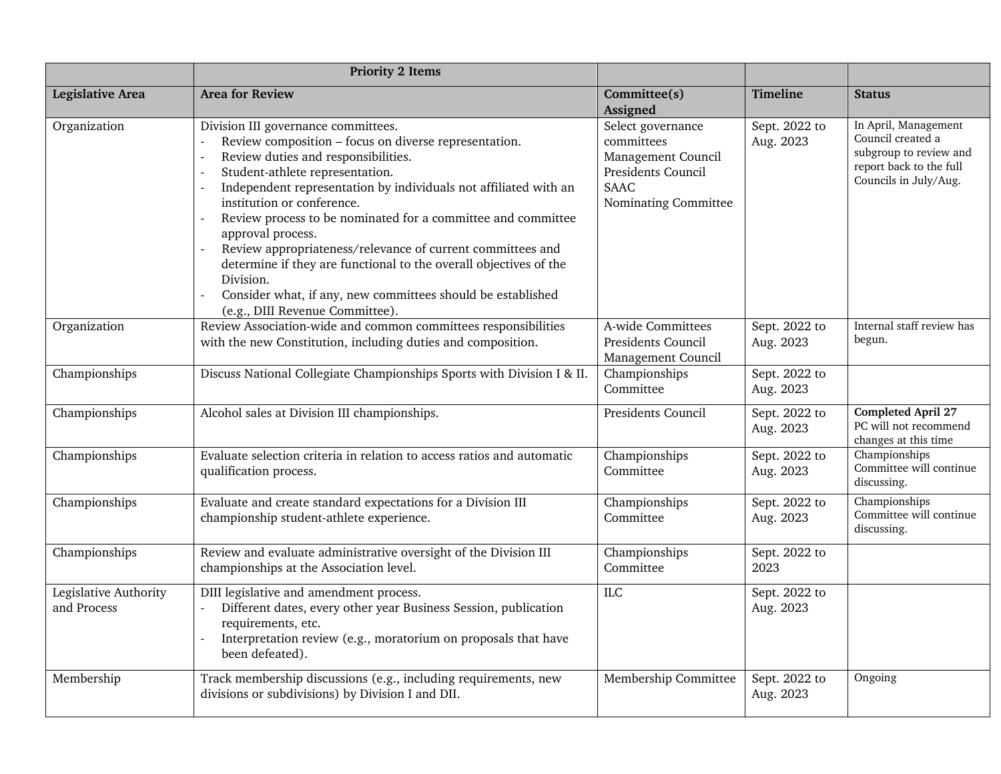|                                      | <b>Priority 2 Items</b>                                                                                                                                                                                                                                                                                                                                                                                                                                                                                                                                                                                                                             |                                                                                                                    |                            |                                                                                                                         |
|--------------------------------------|-----------------------------------------------------------------------------------------------------------------------------------------------------------------------------------------------------------------------------------------------------------------------------------------------------------------------------------------------------------------------------------------------------------------------------------------------------------------------------------------------------------------------------------------------------------------------------------------------------------------------------------------------------|--------------------------------------------------------------------------------------------------------------------|----------------------------|-------------------------------------------------------------------------------------------------------------------------|
| <b>Legislative Area</b>              | <b>Area for Review</b>                                                                                                                                                                                                                                                                                                                                                                                                                                                                                                                                                                                                                              | Committee(s)<br>Assigned                                                                                           | <b>Timeline</b>            | <b>Status</b>                                                                                                           |
| Organization                         | Division III governance committees.<br>Review composition - focus on diverse representation.<br>Review duties and responsibilities.<br>$\overline{a}$<br>Student-athlete representation.<br>$\overline{a}$<br>Independent representation by individuals not affiliated with an<br>institution or conference.<br>Review process to be nominated for a committee and committee<br>approval process.<br>Review appropriateness/relevance of current committees and<br>determine if they are functional to the overall objectives of the<br>Division.<br>Consider what, if any, new committees should be established<br>(e.g., DIII Revenue Committee). | Select governance<br>committees<br>Management Council<br>Presidents Council<br><b>SAAC</b><br>Nominating Committee | Sept. 2022 to<br>Aug. 2023 | In April, Management<br>Council created a<br>subgroup to review and<br>report back to the full<br>Councils in July/Aug. |
| Organization                         | Review Association-wide and common committees responsibilities<br>with the new Constitution, including duties and composition.                                                                                                                                                                                                                                                                                                                                                                                                                                                                                                                      | A-wide Committees<br>Presidents Council<br>Management Council                                                      | Sept. 2022 to<br>Aug. 2023 | Internal staff review has<br>begun.                                                                                     |
| Championships                        | Discuss National Collegiate Championships Sports with Division I & II.                                                                                                                                                                                                                                                                                                                                                                                                                                                                                                                                                                              | Championships<br>Committee                                                                                         | Sept. 2022 to<br>Aug. 2023 |                                                                                                                         |
| Championships                        | Alcohol sales at Division III championships.                                                                                                                                                                                                                                                                                                                                                                                                                                                                                                                                                                                                        | Presidents Council                                                                                                 | Sept. 2022 to<br>Aug. 2023 | <b>Completed April 27</b><br>PC will not recommend<br>changes at this time                                              |
| Championships                        | Evaluate selection criteria in relation to access ratios and automatic<br>qualification process.                                                                                                                                                                                                                                                                                                                                                                                                                                                                                                                                                    | Championships<br>Committee                                                                                         | Sept. 2022 to<br>Aug. 2023 | Championships<br>Committee will continue<br>discussing.                                                                 |
| Championships                        | Evaluate and create standard expectations for a Division III<br>championship student-athlete experience.                                                                                                                                                                                                                                                                                                                                                                                                                                                                                                                                            | Championships<br>Committee                                                                                         | Sept. 2022 to<br>Aug. 2023 | Championships<br>Committee will continue<br>discussing.                                                                 |
| Championships                        | Review and evaluate administrative oversight of the Division III<br>championships at the Association level.                                                                                                                                                                                                                                                                                                                                                                                                                                                                                                                                         | Championships<br>Committee                                                                                         | Sept. 2022 to<br>2023      |                                                                                                                         |
| Legislative Authority<br>and Process | DIII legislative and amendment process.<br>Different dates, every other year Business Session, publication<br>requirements, etc.<br>Interpretation review (e.g., moratorium on proposals that have<br>been defeated).                                                                                                                                                                                                                                                                                                                                                                                                                               | $\rm ILC$                                                                                                          | Sept. 2022 to<br>Aug. 2023 |                                                                                                                         |
| Membership                           | Track membership discussions (e.g., including requirements, new<br>divisions or subdivisions) by Division I and DII.                                                                                                                                                                                                                                                                                                                                                                                                                                                                                                                                | Membership Committee                                                                                               | Sept. 2022 to<br>Aug. 2023 | Ongoing                                                                                                                 |